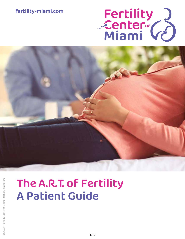# fertility-miami.com





# TheA.R.T. of Fertility A Patient Guide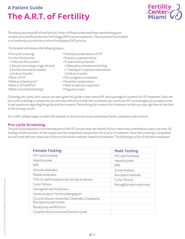

The physicians and staff of the Fertility Center of Miami understand how overwhelming and complex Assisted Reproductive Technology (ART) can be to patients. The purpose of this booklet is to familiarize you with the In-Vitro-Fertilization (IVF) process.

This booklet will discuss the following topics:

- Pre-cycle screening
- In-vitro Fertilization:
- 1. Follicular Recruitment
- 2. Oocyte harvesting or egg retrieval
- 3. Fertilization and Incubation
- 4. Embryo transfer
- What is ICSI?
- What are blastocysts?
- What is TESA/PESA?
- What is Assisted Hatching?
- Potential complications of IVF
- Embryo cryopreservation
- Frozen embryo transfer:
- 1. Maturation of endometrial lining
- 2. Thawing of cryopreserved embryos
- 3. Embryo transfer
- Post pregnancy treatment
- Potential complications
- What is selective reduction?
- Pregnancy rates

Following your physician's consult you were given this guide to learn about IVF and a package of consents for IVF treatment. Once the pre-cycle screening is completed, you will meet with a nurse that will coordinate your particular IVF cycle and give you an opportunity to ask questions regarding this guide and the consents. Please bring the consents for treatment so that you may sign them at the time of the nursing consult.

Our staff is always happy to meet with patients to discuss new issues and answer further questions and concerns.

# Pre-cycle Screening

The pre-cycle evaluation is an essential part of the IVF process that can identify factors which may contribute to a poor outcome. All testing on both members of the couple must be completed in preparation for a cycle of treatment. Once the screening is completed, you will meet with your physician to discuss the results and their impact on treatment. The following is a list of the basic evaluation:

| <b>Female Testing</b>                                                           | <b>Male Testing</b>        |
|---------------------------------------------------------------------------------|----------------------------|
| HIV I and II antibody                                                           | HIV I and II antibody      |
| Hepatitis panel                                                                 | Hepatitis panel            |
| <b>RPR</b>                                                                      | <b>RPR</b>                 |
| Varicella antibodies                                                            | Semen Analysis             |
| Rubella antibodies                                                              | Anti-sperm Antibody        |
| FSH, LH, and Estradiol on the 3rd day of menses                                 | <b>Cystic Fibrosis</b>     |
| Cystic Fibrosis                                                                 | Hemoglobin electrophoresis |
| Hemoglobin electrophoresis                                                      |                            |
| Hysteroscopy or Hysterosalpingogram                                             |                            |
| Cervical cultures: Gonorrhea, Chlamydia, Ureaplasma,<br>Mycoplasma, and routine |                            |
| Blood group and Rh factor                                                       |                            |
| Complete blood count and Chemistry panel                                        |                            |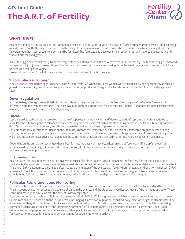

# WHAT IS IVF?

An understanding of natural conception is important in order to understand in-vitro-fertilization (IVF). Normally, a woman will produce one egg (oocyte) each month. The egg is released from the ovary at the time of ovulation and transported to the fallopian tube. Usually, it is in the fallopian tube that it will encounter sperm and be fertilized. The fertilized egg develops into an embryo that will travel to the uterus (womb) where it attaches and grows.

In IVF, the egg is collected directly from the ovary before ovulation and is fertilized with sperm in the laboratory. The fertilized egg is incubated for a period of 3 to 5 days. The resulting embryo is then transferred into the uterus passing through a small canal, called the cervix, which can be accessed through the vagina.

How is IVF performed? The following are step by step descriptions of the IVF process.

# 1. Follicular Recruitment

A harvest of several mature eggs is needed in order to perform IVF. When naturally a woman would produce only one egg monthly, the use of gonadotropins (fertility hormones) make possible an increased production of eggs. This translates into higher fertilization and pregnancy rates.

### Down-regulation

In order to begin the egg production (follicular recruitment) the pituitary gland, which controls the ovary, must be "quieted", so as not to "interfere" with the fertility hormones. There are two types of medications used for this purpose: Lupron (Gonadotropin-Releasing Hormone agonist) and Ganirelix Acetate (GnRH antagonists).

### Lupron

Lupron is an injectable drug that creates this state of suppression, medically termed "down-regulation". Lupron's immediate action is to stimulate the pituitary gland to release hormones that regulate the ovary, called follicle stimulating hormone (FSH) and luteinizing hormone (LH). With continued use of Lupron, the pituitary exhausts itself and a state of suppression is created.

Patients start daily injections of Lupron about 7 to 10 days before their expected period. To avoid an unexpected pregnancy while taking Lupron, it is very important to abstain from intercourse or use protection the month before starting medications. Often times the physician will prescribe oral contraceptive pills to be taken the same month that Lupron is started in order to avoid an inadvertent pregnancy.

Depending on the stimulation technique that is best for you, the physician may begin Lupron on a different day ("Flare up" protocol) or prescribe a different dosage of Lupron (Microdose Lupron). In all cases, Lupron is continued daily in conjunction with gonadotropins until the follicular recruitment phase is over.

### GnRH antagonists

An alternative method of down-regulation involves the use of GnRH antagonists (Ganirelix Acetate). Shortly after the initial injection of Ganirelix Acetate, a state of down-regulation is immediately achieved, in contrast with Lupron which takes several days to produce this effect. Therefore, GnRH antagonists are started after initiating stimulation of the ovaries with fertility hormones, rather than prior to menses. GnRH antagonists block the potential premature release of LH, which precipitates ovulation, thus allowing the gonadotropins to continue to stimulate the follicles to grow. Often, an oral contraceptive is utilized in the month prior to initiating a GnRH antagonist.

# Follicular Recruitment and Monitoring

The cycle of IVF treatment begins with the onset of the menstrual flow. Patients attend the office for a baseline ultrasound and blood work. The ultrasound evaluation ensures the absence of cysts in the ovaries, and the blood work verifies low levels of the hormone estradiol. These results indicate to the physician that the patient is down-regulated.

Eggs develop within a small sac of fluid within the ovary, called a follicle. While eggs are so small that cannot be seen without a microscope, follicles are easily visualized with the use of ultrasound imaging. Once down-regulation is verified, daily injections of gonadotropins (fertility hormones) will begin in order to recruit follicles and stimulate their growth. Gonadotropins can contain a pure form of Follicle Stimulating Hormone (FSH) or a mixture of FSH and Luteinizing Hormone (LH). Examples of FSH only gonadotropins are Follistim and Gonal-F,and examples of mixed preparations are Repronex and Menopur. Follicles respond to FSH by growing and producing the hormone estradiol. Typically, patients use daily injections of gonadotropins for approximately 8 to 12 days.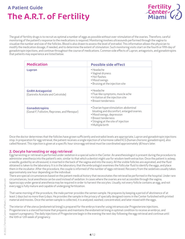The goal of fertility drugs is to recruit as optimal a number of eggs as possible without over-stimulation of the ovaries. Therefore, careful monitoring of the patient's response to the medications is required. Monitoring involves ultrasounds performed through the vagina to visualize the number and size of the follicles. Blood is also drawn to assess the level of estradiol. This information allows the physician to modify the medication dosage, if needed, and to determine the extent of stimulation. Such monitoring visits start on the fourth or fih day of gonadotropin injections, and continue throughout the course of medications. Common side effects of Lupron, antagonists, and gonadotropins that patients may experience are listed below:

| <b>Medication</b>                                            | <b>Possible side effect</b>                                                                                                                                                                        |
|--------------------------------------------------------------|----------------------------------------------------------------------------------------------------------------------------------------------------------------------------------------------------|
| Lupron                                                       | • Headache<br>· Vaginal dryness<br>• Hot flashes<br>• Mood swings<br>• Bruising at the injection site                                                                                              |
| <b>GnRH Antagonist</b><br>(Ganirelix Acetate and Cetrotide)  | • Headache<br>• Flue-like symptoms, muscle ache<br>· Irritation at the injection site<br>· Breast tenderness                                                                                       |
| Gonadotropins<br>(Gonal-F, Follistim, Repronex, and Menopur) | · Ovarian hyperstimulation: abdominal<br>bloating and discomfort, enlarged ovaries.<br>· Mood swings, depression<br>• Breast tenderness<br>• Stinging at the site of injection<br>· Multiple birth |

Once the doctor determines that the follicles have grown sufficiently and estradiol levels are appropriate, Lupron and gonadotropin injections stop. In preparation for egg retrieval, the patient receives a single injection of a hormone called hCG (human chorionic gonadotropin), also called Novarel. This injection is given at a specific hour since egg retrieval must be coordinated approximately 36 hours later.

# 2. Oocyte harvesting or egg retrieval

Egg harvesting or retrieval is performed under sedation in a special suite in the Center. An anesthesiologist is present during the procedure to administer anesthesia into the patient's vein, similar to that which a dentist might use for wisdom teeth extraction. Once the patient is asleep, a needle, guided by an ultrasound, is inserted in the back of the vagina and into the ovary. All the visible follicles are aspirated, and the fluid obtained is taken to the laboratory. It is in the laboratory, that the embryologist examines the follicular fluid to identify the eggs, and place them in the incubator. After the procedure, the couple is informed of the number of eggs retrieved. Recovery from the sedatives usually takes approximately one hour depending on the individual.

There are special circumstances based on the patient medical history that necessitates the retrieval be performed in the hospital. Under rare circumstances, local anesthesia can be used instead of sedation. In cases where the ovaries are not accessible through the vagina, laparoscopy under general anesthesia may be required in order to harvest the oocytes. Usually, not every follicle contains an egg, and not every egg is fully mature and capable of undergoing fertilization.

That same morning of the procedure, the male partner provides the semen sample. He prepares by keeping a period of abstinence of at least 2 days but no more than 5 days. He provides the sample in the privacy of specially designed rooms in the Center furbished with printed material and movies. Once the semen sample is collected, it is analyzed, washed, concentrated, and later mixed with the eggs.

The interior of the uterus (endometrial lining) is prepared for the embryo transfer using intramuscular Progesterone injections. Progesterone is a steroid hormone that prepares and maintains the endometrial lining in optimal condition to receive an embryo, and support a pregnancy. The daily injections of Progesterone begin in the evening the next day following the egg retrieval and continue until the 10th or 12th week of pregnancy.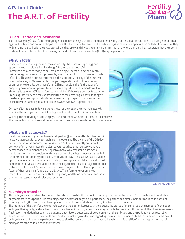# 3. Fertilization and Incubation

The following day ("day 1"), the embryologist examines the eggs under a microscope to verify that fertilization has taken place. In general, not all eggs will fertilize, and not all embryos that result will continue to develop. The fertilized eggs are kept in a special fluid called culture media. They will remain undisturbed in the incubator where they grow and divide into many cells. In situations where there is a high suspicion that the sperm might not penetrate and fertilize the egg, intracytoplasmic sperm injection (ICSI) may be performed.

# What is ICSI?

In some cases, including those of male infertility, the usual mixing of egg and sperm may not result in a fertilized egg. A technique termed ICSI (intracytoplasmic sperm injection) in which a single sperm is injected directly inside the egg with a microscopic needle, may offer a solution to those with male infertility. This technique is performed in the laboratory the day of the retrieval using mature eggs. We are unable to judge the genetic health of oocytes and sperm prior to fertilization, therefore, ICSI may result in the fertilization of an oocyte by an abnormal sperm. There are some reports of a less than 1% risk of abnormalities when ICSI is performed. In addition, if there is a genetic factor that is causing infertility, this may be transmitted to the offspring. Genetic testing of the developing embryo or fetus is recommended by the performance of either chorionic villus sampling or amniocentesis whenever ICSI is performed.

On "day 3" (three days following the retrieval of the eggs), the embryologist will examine the embryos and check the degree of development. This information

will help the embryologist and the physician determine whether to transfer the embryos that same day, or wait two additional days until the embryos reach the blastocyst stage.

# ICSI

Fertility<br>Eenter®<br>Miami

### What are Blastocysts?

Blastocysts are embryos that have developed for 5 to 6 days after fertilization. A healthy blastocyst is ready to hatch from its outer shell by the end of the 6th day and implant into the endometrial lining within 24 hours. Currently only about 20-40% of embryos mature into blastocysts, but those that do survive have a better chance to implant and develop into a baby. Why transfer blastocysts? Blastocyst culture can provide a natural selection of the best embryos instead of random selection among good quality embryos on "day 3". Blastocysts are a viable option whenever a good number and quality of embryos exist. When only a limited number of embryos are available on the third day, there is no advantage to continue culture to a blastocyst. Since blastocysts have a higher potential for implantation, fewer of them are transferred, generally two. Transferring fewer embryos translates into a lower risk for multiple pregnancy, and this is paramount for those couples that want to avoid selective reduction.



A human blastocyst

# 4. Embryo transfer

The embryo transfer takes place in a comfortable room while the patient lies on a special bed with stirrups. Anesthesia is not needed since only temporary, mild period-like cramping or no discomfort might be experienced. The partner or a family member can keep the patient company during the procedure. Use of perfumes should be avoided since it might be toxic to the embryos.

The morning of the transfer the embryologist and the doctor discuss with the patient the status of the embryos: the number of developed embryos, their quality, and number of cells of each one. A photograph of the embryos might be provided. At this point, the physician makes a final recommendation based on the patient's past history, age, stage of development of the embryos, and the patient wishes regarding selective reduction. Then the couple and the doctor make a joint decision regarding the number of embryos to be transferred. On the day of embryo transfer, the female partner is asked to sign the "Consent Form for Embryo Transfer and Disposition" confirming the number of embryos that the couple desires to transfer.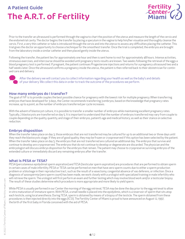

Prior to the transfer an ultrasound is performed through the vagina to chart the position of the uterus and measure the length of the cervix and the endometrial cavity. The doctor begins the transfer by placing a speculum in the vagina to help him/her visualize and thoroughly cleanse the cervix. First, a very thin catheter or tube is introduced through the cervix and into the uterus to assess any difficulties placing the catheter. This trial gives the doctor an opportunity to choose a technique for the smoothest transfer. Once the trial is completed, the embryos are brought from the laboratory inside a similar catheter and then placed gently inside the uterus.

Following the transfer, the patient lies for approximately one hour and then is sent home to rest for approximately 48 hours. Intense activities, strenuous exercises, and intercourse should be avoided until pregnancy tests results are known. Two weeks following the retrieval of the eggs a blood pregnancy test is performed. If pregnant, the patient continues Progesterone injections and returns for a pregnancy ultrasound two and a half weeks later. Once the ultrasound confirms a pregnancy inside the uterus, the patient is then referred back to their obstetrician for continued care and delivery.



After the delivery we will contact you to collect information regarding your health as well as the baby's and details of your delivery. We collect this data in order to track the outcome of the procedures we perform.

### How many embryos do I transfer?

The goal of IVF is to provide couples the best possible chance for pregnancy with the lowest risk for multiple pregnancy. When transferring embryos that have developed for 3 days, the Center recommends transferring 3 embryos, based on the knowledge that pregnancy rates increase, up to a point, as the number of embryos transferred per cycle increases.

With the advent of blastocyst culture, it is possible to transfer a smaller number of embryos while maintaining excellent pregnancy rates. Typically, 2 blastocysts are transferred on day 5. It is important to understand that the number of embryos transferred may vary from couple to couple depending on the quality, quantity, and stage of their embryos, patient's age and medical history; as well as their stance on selective reduction.

# Embryo disposition

When the transfer takes place on day 3, those embryos that are not transferred may be cultured for up to an additional two or three days until they reach the blastocysts stage. If they are of good quality, they may be frozen or cryopreserved if this option has been selected by the patient. When the transfer takes place on day 5, the embryos that are not transferred are cultured an additional day. The embryos that survive and continue to develop are cryopreserved. The embryos that do not continue to develop or degenerate are discarded. The physician and the embryologist will discuss embryo disposition for the embryos that remain. The patient may choose to cryopreserve surviving embryos of the extended culture or immediately discard any remaining embryos after the transfer.

# What is PESA or TESA?

PESA (percutaneous epidydimal sperm aspiration) and TESA (testicular sperm aspiration) are procedures that are performed to obtain sperm in certain cases of male infertility. PESA or TESA can be performed on men that have zero sperm counts due to either a sperm production problem or a blockage in their reproductive tract, such as the result of a vasectomy, congenital absence of vas deferens, or infection. Once a diagnosis of azoospermia (zero sperm count) has been made, we work closely with a urologist with specialized training in male infertility who will retrieve the sperm. The urologist will first perform an exam and further testing which may involve blood work and/or a testicular biopsy. The result of these studies determine which procedure is more appropriate and more likely to yield sperm.

While PESA is usually performed in our Center the morning of the egg retrieval, TESA may be done the day prior to the egg retrieval to allow in vitro maturation of immature sperm. With PESA, a small needle is placed into the epidydimis, which is a reservoir of sperm that sits atop each testicle, using local anesthesia. During TESA, sperm is obtained by means of a biopsy of the testicle. The sperm obtained from these procedures is then injected directly into the eggs (ICSI). The Fertility Center of Miami is proud to have announced on August 12, 1997, the birth of the first baby in Florida conceived with the aid of PESA.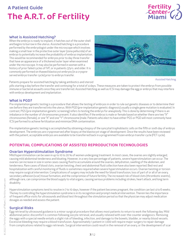

# What is Assisted Hatching?

When the embryo is ready to implant, it hatches out of the outer shell and begins to burrow in the uterus. Assisted hatching is a procedure performed by the embryologist under the microscope which involves making a small tear in the protective outer layer (zona pellucida) of an embryo to potentially increase the probability of embryo implantation. This would be recommended for embryos prior to day three transfer that have an appearance of a thickened outer layer when examined under the microscope. It may also be performed in women with a history of prior failed cycles of IVF, or in patients 37yrs. and older. It is commonly performed on thawed blastocyst embryos (in a cryopreserved embryo transfer cycle) prior to embryo transfer.



Patients prepare for assisted hatching by taking antibiotics and steroid Assisted Hatching Assisted Hatching Assisted Hatching

pills starting a day before the transfer and continuing for a total of 4 days. These measures are taken to protect the embryo from possible immune or bacterial assaults once they are transferred. Assisted Hatching as well as ICSI may damage the egg or embryo that may interfere with embryo development and implantation.

# What is PGD?

Pre-implantation genetic testing is a procedure that allows the testing of embryos in order to rule out genetic diseases or to determine their sex before they are transferred into the uterus. With PGD (pre-implantation genetic diagnosis) usually a single gene mutation is evaluated. In contrast, PGS (pre-implantation genetic screening) refers to testing the embryo for aneuploidy. This is done by determining if there is an imbalance in the number of chromosomes present. It also identifies if the embryo is male or female based on whether there are two "X" chromosomes (female), or one "X" and one "Y" chromosome (male. Patients who elect to have either PGS or PGD will most commonly have ICSI performed to achieve fertilization and minimize DNA contamination.

Pre-implantation genetic testing is accomplished by obtaining a biopsy of the syncytial trophoblastic cells on the fifth or sixth day of embryo development. The embryos are cryopreserved after biopsy at the blastocyst stage of development. Once the results have been reviewed with the patient, acceptable embryos are available to be transferred back in a programmed frozen embryo transfer cycle (FET cycle).

# POTENTIAL COMPLICATIONS OF ASSISTED REPRODUCTION TECHNOLOGIES

# Ovarian Hyperstimulation Syndrome

Mild hyperstimulation can be seen in up to 10 to 20 % of women undergoing treatment. In most cases, the ovaries are slightly enlarged, causing mild abdominal tenderness and bloating. However, in a very low percentage of patients, severe hyperstimulation can occur. The ovaries can increase in size in some cases causing fluid to accumulate around the ovaries, dehydration, swelling of the abdomen, and tenderness. Rare cases of blood clots, ovarian twisting, chest and abdominal fluid collection have also been reported. Bed rest and hospitalization with careful monitoring of fluids is sometimes required when severe hyperstimulation occurs. Ovarian twisting or torsion may require surgical intervention. Complications of surgery may include the need for blood transfusion, loss of part of or all of an ovary, secondary adhesion (scar) tissue formation, and the compromise of future fertility. The increased risk of blood clots (thrombotic events) , although rare, can compromise the blood supply to vital organs, causing serious problems including strokes, heart attack, and long term disability.

Hyperstimulation symptoms tend to resolve in 7 to 10 days, however if the patient becomes pregnant, the condition can last 4 to 6 weeks. The key to controlling the hyperstimulation syndrome is in its recognition and prompt medical intervention. Therein lies the importance of frequent office visits for ultrasounds and blood test throughout the stimulation period so that the physician may adjust medication dosages as needed and assess the patient.

# Surgical Risks

Egg retrieval by ultrasound guidance is a minor surgical procedure that allows most patients to return to work the following day. Mild abdominal pelvic discomfort is common following oocyte retrieval, and usually relieved with over-the-counter analgesics. Removing the eggs with a special needle entails a slight risk of bleeding, infection, and damage to the bowels, bladder, or nearby blood vessels. Excessive bleeding may require a blood transfusion. Approximately 1 patient in 1,000 will require major surgery to repair damage from complications related to eggs retrievals. Surgical intervention could result in the removal of an ovary, or the development of scar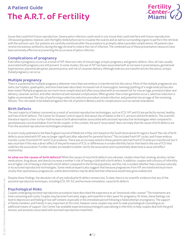

tissue that could limit future reproduction. Severe pelvic infection could result in scar tissue that could interfere with future reproduction. Ultrasound guidance, however, aids the highly skilled physician to visualize the ovaries and as well as surrounding organs to perform the retrieval with the outmost care. Our patients are carefully monitored after the procedure to promptly detect possible complications. All patients also receive intravenous antibiotics during the egg retrieval to reduce the risk of infection. The combined use of these preventative measures have been extremely effective at preventing the occurrence of pelvic infection.

# Complications of pregnancy

Even when a pregnancy occurs as a result of IVF, there are risks of miscarriage, ectopic pregnancy, and genetic defects. Also, all risks usually associated with pregnancy are still present. In some studies, the use of IVF has been associated with an increase in preeclampsia, gestational hypertension, placental abruption, placenta previa, and risk of cesarean delivery. Although embryos are transferred into the uterus, ectopic (tubal) pregnancy can occur.

# Multiple pregnancy

There is a potential for multiple pregnancy whenever more than one embryo is transferred into the uterus. Most of the multiple pregnancies are twins, but triplets, quadruplets, and more have been described. Increased risk of monozygotic twinning (splitting of a single embryo) has also been noted. Multiple pregnancies are much more complicated and often associated with an increased risk for miscarriage, premature labor and delivery, cesarean section, and other obstetrical and neonatal complications. When greater than a twin gestation occurs, selective reduction is highly recommended. The risks of performing a selective reduction procedure include infection, and potential miscarriage of the remaining fetuses. This risk needs to be balanced against the risk of preterm delivery and its complications such as mental retardation.

# Birth Defects

The vast majority of babies conceived as a result of assisted reproductive technologies, such as ICSI, IVF and IUI are perfectly normal, healthy, and free of birth defects. The Center for Disease Control reports that about 3% of babies in the U.S. are born with birth defects. The scientific literature reports a two- to four-fold increase in birth abnormalities associated with assisted reproductive technologies when compared to spontaneously conceived babies from fertile couples. In this context, the word "associated", does not imply that the cause of birth defects are from the assisted reproductive technologies employed.

A recent study published in the New England Journal of Medicine in May 2012 based on the South Australia birth registry found "the risk of birth defects associated with IVF was no longer significant after adjusted for parental factors". This included fresh IVF cycles, and frozen embryo transfer cycles from both IVF and ICSI procedures. There was an increase noted in those patients who had fresh ICSI embryos transferred, but it was uncertain if this was a direct effect of the performance of ICSI, or differences in a male infertility factor that lead to the use of ICSI that underlies the association. Further studies are needed to better clarify the association and to potentially determine a cause and effect relationship.

So what are the causes of birth defects? While the causes of most birth defects are unknown, studies show that smoking, alcohol, certain medications, drug abuse, and obesity increase a mother's risk of having a child with a birth defect. In addition, couples with a history of infertility are at higher risk of having a child with a birth defect compared to the fertile population, and this risk is evident whether they conceive naturally or by assisted reproductive technologies. Some medical experts also suggest that because pregnancies from IVF are monitored much more closely than spontaneous pregnancies, subtle abnormalities may be detected that otherwise would have gone undetected.

Despite these findings, the absolute risk of any individual birth defect remains low. To date, there is no scientific evidence that any of the assisted reproductive techniques, including ICSI, IVF, IUI, and hormone stimulation, cause birth defects.

# Psychological Risks

Couples undergoing assisted reproduction procedures have described the experience as an "emotional roller coaster". The treatments are time-consuming and costly. Couples may become frustrated, angry, and resentful in their quest for pregnancy. At times, these feelings can lead to depression and feeling of low self-esteem; especially in the immediate period following a failed attempt at pregnancy. The support of family members and friends is very important at this time, however some couples may wish to seek psychological counseling as an additional means of support. Our Center has available experienced psychologists specializing in infertility to help couples deal with the grief, tension, and anxieties associated with assisted reproduction treatment.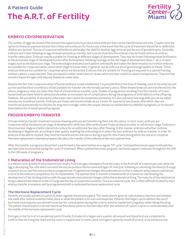

# EMBRYO CRYOPRESERVATION

The number of eggs harvested often present the opportunity to produce more embryos than can be transferred at one time. Couples have the option to freeze (cryopreserve) and store these extra embryos for future use, in the event that the cycle of treatment should fail or additional children are desired. The use of cyopreserved embryos eliminates the need for another egg retrieval and the use of gonadotropins. Generally, embryos are frozen following an egg retrieval and embryo transfer, but in some situations the embryos may be frozen before an embryo transfer takes place. Embryos may be suitable for freezing at different stages of development. They may be frozen following initial fertilization at the pronuclear stage of development (soon after fertilization), following cleavage at the cell stage of development (days 1-4), or at later stages such as the blastocyst stage. The embryologist evaluates each patient individually and makes the determination as to which embryos are suitable for cryopreservation, and at what stage to freeze them. In general, not all embryos are of good enough quality to freeze. Those embryos that are not suitable for cryopreservation are discarded. Embryos that are suitable for freezing are exposed to a special freezing medium called a cryoprotectant. They are placed in either small tubes or straws which are then cooled to subzero temperatures. They are then stored in liquid nitrogen until they are thawed at a later date.

Despite the fact that cryopreservation of human embryos is well established, it is possible that at the time of thawing, none of the embryos will survive and therefore no embryos will be available for transfer into the female partner's uterus. When thawed embryos are transferred into the uterus, pregnancy rates are lower than that of a fresh embryo transfer cycle. Studies of pregnancies resulting from the transfer of frozen human embryos have failed to demonstrate either an increased risk of complications during the pregnancy or birth defects in the offspring. However, the possibility of presently unforeseen risks cannot be completely eliminated. It is also unknown how long embryos can be safely stored prior to embryo transfer. Embryos are frozen and stored initially at our Center for a period of one (1) year, after which, they are transferred automatically to a facility for long-term storage, unless the couple chooses to utilized them to attempt a pregnancy or to discard them before the 12 month period has lapsed.

# FROZEN EMBRYO TRANSFER

A frozen embryo transfer treatment involves thawing embryos and transferring them into the uterus. In most cases, embryos are cryopreserved at the blastocyst stage of development, while less often embryos are frozen at the pronuclear or cell division stage. Embryos in the pronuclear stage are better placed into culture for an additional few days after thawing. In this manner, embryos will either continue developing or degenerate, according to their quality, enabling the embryologist to select the best embryos for embryo transfer. In order for embryos to be able to implant, they must be transferred into the uterus during a specific time frame during which the uterus is receptive. Hormone replacement treatment prepares the uterus for transfer of the embryos at the most optimal time.

After the transfer, a pregnancy blood test is performed in the same fashion as a regular IVF cycle. Continued hormonal support with patches and injections are essential during this cycle of treatment. When a patient becomes pregnant, hormonal support continues throughout the 10th to the 12th week of pregnancy.

# 1. Maturation of the Endometrial Lining

In a natural cycle, growth of the endometrium results from estrogen stimulation from the ovary. In the first half of a menstrual cycle, while the egg is developing, the cells which surround the oocyte produce the hormone estrogen. At midcycle, following a Luteinizing Hormone (LH) surge, ovulation occurs and the ovary produces progesterone. Progesterone changes the endometrium so that it matures and produces substances critical to the embryo in preparation for its implantation. The optimal time to transfer a thawed embryo is based on coordinating the development of the dividing embryo with the appropriate maturational changes within the endometrial lining. The maturity of the endometrial lining is determined relative to the LH surge and the day of suspected ovulation. Since on a natural cycle, this is often difficult to identify, most embryo transfer procedures will be programmed with a medicated hormone replacement cycle.

### The Hormone Replacement Cycle

Patients are usually placed on Lupron to down regulate the pituitary gland. This medication is given by subcutaneous injection and initiated one week after natural ovulation takes place or while the patient is on oral contraceptives. Patients that begin Lupron without the use of hormonal contraception are advised to use barrier contraception during the cycle to avoid an inadvertent pregnancy while taking this drug. The patient should expect a normal menstrual flow about seven to fourteen days after the initiation of Lupron. Lupron is continued daily until the middle of the hormone replacement cycle.

Estrogen in the form of a transdermal patch (Vivelle, Estraderm) is begun once a pelvic ultrasound and blood test are completed to confirm that the lining has shed and the ovary is suppressed. In some cases, estrogen is given by mouth (Estrace), or by intramuscular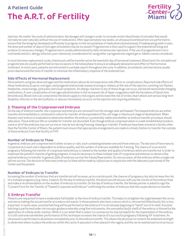

injection. No matter the route of administration, the dosages will change in order to recreate similar blood levels of estradiol that would normally be seen naturally without the use of medications. After approximately two weeks, an ultrasound and blood test are performed to ensure that the lining has developed sufficiently to progress to the second phase of medications (luteal phase). If inadequate growth is seen, the dose and number of days of estrogen stimulation may be increased. Progesterone is then used to support the endometrial lining and produce its necessary changes. Progesterone is usually administered by daily intramuscular injections. If the use of progesterone in oil is contraindicated (i.e. allergy, infection, poor tolerance), consideration for using either a progesterone vaginal gel or tablets can be considered.

In most hormone replacement cycles, blastocysts will be transferred on the twentieth day of hormonal treatment. Blood tests for estradiol and progesterone are usually performed on two occasions in the luteal phase to ensure an adequate absorption and effect of the hormonal treatment. In most cases, patients are instructed to use baby aspirin throughout the cycle. In addition, an antibiotic and steroid are usually prescribed around the time of transfer to minimize the inflammatory response of the endometrium.

### Side Effects of Hormonal Replacement

Most patients using low dose estrogen and the medications above do not experience side effects or complications. Reported side effects of these medications (Lupron, estrogen, and progesterone) include nausea, bruising or redness at the site of the injection, vomiting, hot flashes, headaches, mood swings, joint pains and visual symptoms. An allergic reaction to any of these drugs can occur, and would necessitate changing medications. A rarer complication of estrogen administration is the increased risk of hyper-coagulation with the formation of blood clots (thrombosis). Blood clots can compromise the blood supply to vital organs and increase the risk of stroke, heart attack and serious long-term disability. Infection in the skin (cellulitis, or abscess formation) can occur at the injection site requiring antibiotics.

# 2. Thawing of the Cryopreserved Embryos

On the day of embryo transfer, the cryopreserved embryos are removed from the storage tank and thawed. The thawed embryos are either transferred immediately or continued in culture for transfer at the equivalent of the cell stage or blastocyst stage of development. When thawed, each embryo is evaluated to determine whether the embryo is potentially viable and whether an embryo transfer procedure should take place. Those embryos felt un-suitable for transfer are discarded. Even though embryo cryopreservation is a well-established procedure, some or all of the embryos may not survive or may be lost during freezing, thawing or transfer. If embryos have been stored at a facility other than the Fertility Center of Miami, the patient must ensure that appropriate arrangements are made in a timely fashion to transfer the custody of those embryos from that facility to FIVF.

### Number of Embryos to Thaw

In general, embryos are cryopreserved in either straws or vials, each containing between one and three embryos. The decision of how many to cryopreserve in each vial is dependent on embryo quality, and the number of embryos available for freezing. The chance of a successful pregnancy following the transfer of cryopreserved embryos is related to the number and quality of embryos which are transferred. In order to maximize the patient's chances of getting pregnant, it may be necessary to thaw multiple vials of cryopreserved embryos to obtain a few optimal embryos to transfer. In general, 95% of embryos survive the freeze/thaw events. On rare occasion, all the embryos within a single vial will not survive. The decision of how many embryos to thaw will be made by a physician in conjunction with the laboratory personnel of the Center and the patient.

### Number of Embryos to Transfer

Increasing the number of embryos that are transferred will increase, up to a certain point, the chances of pregnancy, but also increase the risk of a multiple pregnancy (e.g. twins, triplets). On the day of embryo transfer, the physician will discuss with you the results of the embryo thaw and make a recommendation on the number of embryos to transfer. On the day of embryo transfer, the female partner is asked to sign the "Consent Form for the Transfer of Thawed Cryopreserved Embryos" confirming the number of embryos that the couple desires to transfer.

# 3. Embryo Transfer

Patients are requested to have a moderately full bladder at the time of embryo transfer. This helps to straighten the angle between the cervix and uterus making the actual transfer procedure a bit easier. In those patients who have a uterus which is retroverted (tilted back), this is less important. In some cases, assisted hatching will be performed on the embryo if it is not already beginning to "hatch" out of its shell. Assisted hatching is performed under microscopic guidance whereby using fine instruments, the zona pellucida (or shell) of the embryo is thinned by the application of a dilute acidic solution. While it is our belief that in select circumstances his may be helpful for the implantation of the embryo, it is still controversial whether performance of this technique increases the chance of a successful pregnancy following IVF treatment. An ultrasound is performed on all patients immediately prior to the embryo transfer. This allows the physician to recheck the endometrial length to determine where to place the embryos within the cavity. A speculum is then placed in the vagina, and the cervix washed and cervical mucus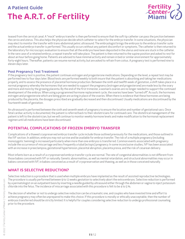

teased from the cervical canal. A "mock" embryo transfer is then performed to ensure that the soft tip catheter can pass the junction between the cervix and uterus. This also helps the physician decide which catheter to select for the embryo transfer. In some situations, the physician may elect to monitor the transfer with trans-abdominal pelvic ultrasound. The embryologist brings the embryos to the embryo transfer suite and the actual embryo transfer is performed. This usually occurs without any patient discomfort or symptoms. The catheter is then returned to the laboratory for microscopic evaluation to ensure that all the embryos have been deposited in the uterus and none are stuck in the catheter. In the rare case of a retained embryo, a repeat transfer will take place. The patient is then returned to the supine position and asked to rest for about an hour before going home. Patients are advised to have minimal activity and remain in bed or similar environment for approximately forty-eight hours. Thereafter, patients can resume normal activity, but are asked to refrain from coitus. A pregnancy test is performed nine to eleven days later.

### Post Pregnancy Test Treatment

If the pregnancy test is positive, the patient continues estrogen and progesterone medications. Depending on the level, a repeat test may be performed two to four days later. Blood tests are performed weekly to both insure that the patient is absorbing and taking her medications properly, and to assess the presence of placental hormone production. Between the ninth and twelfth week of gestation, a shift takes place in a normal pregnancy whereby the hormones that are needed to support the pregnancy (estrogen and progesterone) are made less by the ovary and more and more by the growing placenta. By the end of the first trimester, a woman's ovaries are no longer needed to support the continued development of the embryo. When using a programmed hormone replacement cycle, the ovaries have been "turned off". As such, the hormones estrogen and progesterone which are being given are acting in place of the ovaries. When there is evidence that these hormones are being produced by the placenta, the dosages prescribed are gradually decreased and then discontinued. Usually medications are discontinued by the fourteenth week of gestation.

An ultrasound is performed between the sixth and seventh week of pregnancy to ensure the location and number of gestational sacs. Once fetal cardiac activity is documented, the patient is referred back to their obstetricians for continued care. The obstetrical management of the patient is left to the obstetrician, but we will continue to monitor weekly hormone levels and make modification to the hormonal replacement regimen until all medications have been discontinued.

# POTENTIAL COMPLICATIONS OF FROZEN EMBRYO TRANSFER

Complications of a thawed cryopreserved embryo transfer cycle include those outlined previously for the medications, and those outlined in the IVF section. In addition, embryos may not survive and be available for embryo transfer. The risk of a multiple pregnancy (including monozygotic twinning) is increased particularly when more than one embryos is transferred. Common events associated with pregnancy include the occurrence of miscarriage and less frequently a tubal (ectopic) pregnancy. In some inconclusive studies, IVF has been associated with an increase in preeclampsia, gestational hypertension, placental abruption, placenta previa, and the risk of cesarean delivery.

Most infants born as a result of a cryopreserved embryo transfer cycle are normal. The rate of congenital abnormalities is not different from those babies conceived with IVF or naturally. Genetic abnormalities, as well as mental retardation, and structural abnormalities may occur in babies conceived with IVF, in babies conceived as a result of cryopreservation and thawing, as well as in those conceived naturally.

# WHAT IS SELECTIVE REDUCTION?

Selective reduction is a procedure that is used when multiple embryos have implanted as the result of assisted reproductive technologies. The procedure is usually performed between 9 to 12 weeks gestation to selectively abort the extra embryos. Selective reduction is performed by a perinatologist on an outpatient basis by inserting a needle guided by ultrasound either through the abdomen or vagina to inject potassium chloride into the fetus. The incidence of miscarriage associated with this procedure is felt to be 4 to 5 %.

The decision of whether or not to undergo selective reduction can be a traumatic one, and couples who have invested time and effort to achieve pregnancy may often be unprepared to make this choice. If this procedure is morally or ethically unacceptable, then the number of embryos transferred should be strictly limited. It is helpful for couples considering selective reduction to undergo professional counseling prior to the procedure.